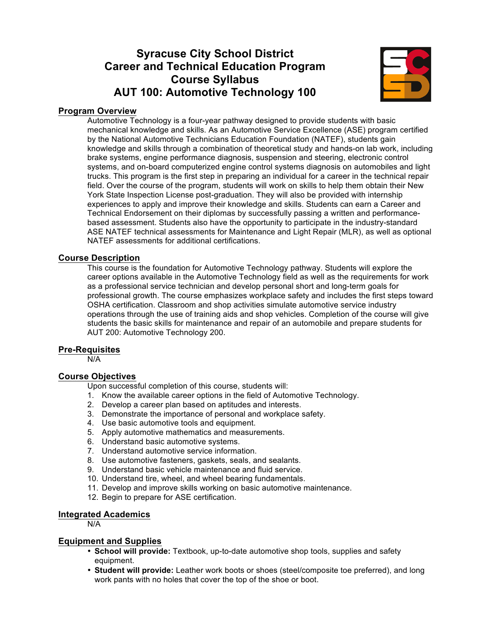# **Syracuse City School District Career and Technical Education Program Course Syllabus AUT 100: Automotive Technology 100**



# **Program Overview**

Automotive Technology is a four-year pathway designed to provide students with basic mechanical knowledge and skills. As an Automotive Service Excellence (ASE) program certified by the National Automotive Technicians Education Foundation (NATEF), students gain knowledge and skills through a combination of theoretical study and hands-on lab work, including brake systems, engine performance diagnosis, suspension and steering, electronic control systems, and on-board computerized engine control systems diagnosis on automobiles and light trucks. This program is the first step in preparing an individual for a career in the technical repair field. Over the course of the program, students will work on skills to help them obtain their New York State Inspection License post-graduation. They will also be provided with internship experiences to apply and improve their knowledge and skills. Students can earn a Career and Technical Endorsement on their diplomas by successfully passing a written and performancebased assessment. Students also have the opportunity to participate in the industry-standard ASE NATEF technical assessments for Maintenance and Light Repair (MLR), as well as optional NATEF assessments for additional certifications.

#### **Course Description**

This course is the foundation for Automotive Technology pathway. Students will explore the career options available in the Automotive Technology field as well as the requirements for work as a professional service technician and develop personal short and long-term goals for professional growth. The course emphasizes workplace safety and includes the first steps toward OSHA certification. Classroom and shop activities simulate automotive service industry operations through the use of training aids and shop vehicles. Completion of the course will give students the basic skills for maintenance and repair of an automobile and prepare students for AUT 200: Automotive Technology 200.

#### **Pre-Requisites**

N/A

### **Course Objectives**

Upon successful completion of this course, students will:

- 1. Know the available career options in the field of Automotive Technology.
- 2. Develop a career plan based on aptitudes and interests.
- 3. Demonstrate the importance of personal and workplace safety.
- 4. Use basic automotive tools and equipment.
- 5. Apply automotive mathematics and measurements.
- 6. Understand basic automotive systems.
- 7. Understand automotive service information.
- 8. Use automotive fasteners, gaskets, seals, and sealants.
- 9. Understand basic vehicle maintenance and fluid service.
- 10. Understand tire, wheel, and wheel bearing fundamentals.
- 11. Develop and improve skills working on basic automotive maintenance.
- 12. Begin to prepare for ASE certification.

#### **Integrated Academics**

N/A

#### **Equipment and Supplies**

- **School will provide:** Textbook, up-to-date automotive shop tools, supplies and safety equipment.
- **Student will provide:** Leather work boots or shoes (steel/composite toe preferred), and long work pants with no holes that cover the top of the shoe or boot.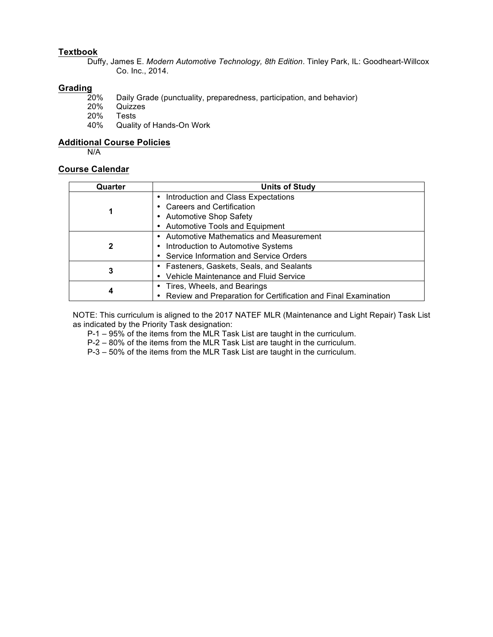# **Textbook**

Duffy, James E. *Modern Automotive Technology, 8th Edition*. Tinley Park, IL: Goodheart-Willcox Co. Inc., 2014.

# Grading<sub>20%</sub>

- 20% Daily Grade (punctuality, preparedness, participation, and behavior)<br>20% Quizzes
- 20% Quizzes
- 20% Tests<br>40% Quality
- Quality of Hands-On Work

#### **Additional Course Policies**

N/A

#### **Course Calendar**

| Quarter | <b>Units of Study</b>                                          |
|---------|----------------------------------------------------------------|
|         | Introduction and Class Expectations                            |
|         | • Careers and Certification                                    |
|         | • Automotive Shop Safety                                       |
|         | <b>Automotive Tools and Equipment</b>                          |
|         | • Automotive Mathematics and Measurement                       |
| 2       | Introduction to Automotive Systems                             |
|         | • Service Information and Service Orders                       |
| 3       | • Fasteners, Gaskets, Seals, and Sealants                      |
|         | • Vehicle Maintenance and Fluid Service                        |
|         | • Tires, Wheels, and Bearings                                  |
| 4       | Review and Preparation for Certification and Final Examination |

NOTE: This curriculum is aligned to the 2017 NATEF MLR (Maintenance and Light Repair) Task List as indicated by the Priority Task designation:

P-1 – 95% of the items from the MLR Task List are taught in the curriculum.

P-2 – 80% of the items from the MLR Task List are taught in the curriculum.

P-3 – 50% of the items from the MLR Task List are taught in the curriculum.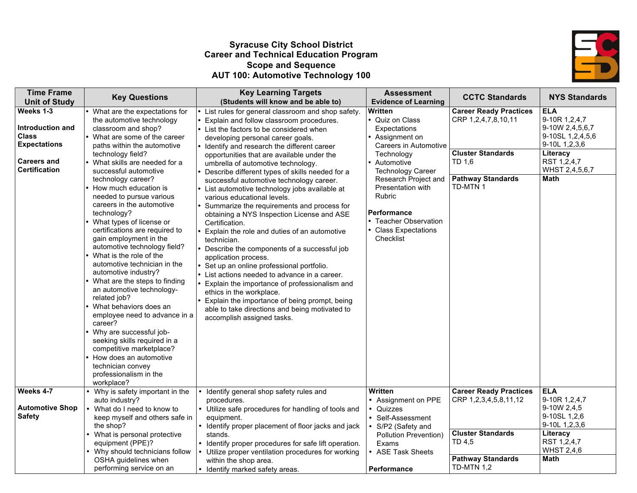# **Syracuse City School District Career and Technical Education Program Scope and Sequence AUT 100: Automotive Technology 100**



| <b>Time Frame</b><br><b>Unit of Study</b>                                                                          | <b>Key Questions</b>                                                                                                                                                                                                                                                                                                                                                                                                                                                                                                                                                                                                                                                                                                                                                                                                                                                                                | <b>Key Learning Targets</b><br>(Students will know and be able to)                                                                                                                                                                                                                                                                                                                                                                                                                                                                                                                                                                                                                                                                                                                                                                                                                                                                                                                                                                                        | <b>Assessment</b><br><b>Evidence of Learning</b>                                                                                                                                                                                                                                        | <b>CCTC Standards</b>                                                                                                              | <b>NYS Standards</b>                                                                                                                     |
|--------------------------------------------------------------------------------------------------------------------|-----------------------------------------------------------------------------------------------------------------------------------------------------------------------------------------------------------------------------------------------------------------------------------------------------------------------------------------------------------------------------------------------------------------------------------------------------------------------------------------------------------------------------------------------------------------------------------------------------------------------------------------------------------------------------------------------------------------------------------------------------------------------------------------------------------------------------------------------------------------------------------------------------|-----------------------------------------------------------------------------------------------------------------------------------------------------------------------------------------------------------------------------------------------------------------------------------------------------------------------------------------------------------------------------------------------------------------------------------------------------------------------------------------------------------------------------------------------------------------------------------------------------------------------------------------------------------------------------------------------------------------------------------------------------------------------------------------------------------------------------------------------------------------------------------------------------------------------------------------------------------------------------------------------------------------------------------------------------------|-----------------------------------------------------------------------------------------------------------------------------------------------------------------------------------------------------------------------------------------------------------------------------------------|------------------------------------------------------------------------------------------------------------------------------------|------------------------------------------------------------------------------------------------------------------------------------------|
| Weeks 1-3<br>Introduction and<br><b>Class</b><br><b>Expectations</b><br><b>Careers and</b><br><b>Certification</b> | What are the expectations for<br>the automotive technology<br>classroom and shop?<br>• What are some of the career<br>paths within the automotive<br>technology field?<br>What skills are needed for a<br>successful automotive<br>technology career?<br>How much education is<br>needed to pursue various<br>careers in the automotive<br>technology?<br>What types of license or<br>certifications are required to<br>gain employment in the<br>automotive technology field?<br>What is the role of the<br>automotive technician in the<br>automotive industry?<br>What are the steps to finding<br>an automotive technology-<br>related job?<br>What behaviors does an<br>employee need to advance in a<br>career?<br>Why are successful job-<br>seeking skills required in a<br>competitive marketplace?<br>How does an automotive<br>technician convey<br>professionalism in the<br>workplace? | List rules for general classroom and shop safety.<br>Explain and follow classroom procedures.<br>List the factors to be considered when<br>developing personal career goals.<br>Identify and research the different career<br>opportunities that are available under the<br>umbrella of automotive technology.<br>Describe different types of skills needed for a<br>successful automotive technology career.<br>List automotive technology jobs available at<br>various educational levels.<br>Summarize the requirements and process for<br>obtaining a NYS Inspection License and ASE<br>Certification.<br>Explain the role and duties of an automotive<br>technician.<br>Describe the components of a successful job<br>application process.<br>Set up an online professional portfolio.<br>List actions needed to advance in a career.<br>Explain the importance of professionalism and<br>ethics in the workplace.<br>Explain the importance of being prompt, being<br>able to take directions and being motivated to<br>accomplish assigned tasks. | Written<br>• Quiz on Class<br>Expectations<br>Assignment on<br>Careers in Automotive<br>Technology<br>Automotive<br><b>Technology Career</b><br>Research Project and<br>Presentation with<br>Rubric<br><b>Performance</b><br>• Teacher Observation<br>• Class Expectations<br>Checklist | <b>Career Ready Practices</b><br>CRP 1,2,4,7,8,10,11<br><b>Cluster Standards</b><br>TD 1,6<br><b>Pathway Standards</b><br>TD-MTN 1 | <b>ELA</b><br>9-10R 1,2,4,7<br>9-10W 2,4,5,6,7<br>9-10SL 1,2,4,5,6<br>9-10L 1,2,3,6<br>Literacy<br>RST 1,2,4,7<br>WHST 2,4,5,6,7<br>Math |
| Weeks 4-7                                                                                                          | Why is safety important in the                                                                                                                                                                                                                                                                                                                                                                                                                                                                                                                                                                                                                                                                                                                                                                                                                                                                      | Identify general shop safety rules and                                                                                                                                                                                                                                                                                                                                                                                                                                                                                                                                                                                                                                                                                                                                                                                                                                                                                                                                                                                                                    | <b>Written</b><br>• Assignment on PPE                                                                                                                                                                                                                                                   | <b>Career Ready Practices</b><br>CRP 1,2,3,4,5,8,11,12                                                                             | <b>ELA</b><br>9-10R 1,2,4,7                                                                                                              |
| <b>Automotive Shop</b><br><b>Safety</b>                                                                            | auto industry?<br>• What do I need to know to<br>keep myself and others safe in<br>the shop?                                                                                                                                                                                                                                                                                                                                                                                                                                                                                                                                                                                                                                                                                                                                                                                                        | procedures.<br>• Utilize safe procedures for handling of tools and<br>equipment.<br>• Identify proper placement of floor jacks and jack                                                                                                                                                                                                                                                                                                                                                                                                                                                                                                                                                                                                                                                                                                                                                                                                                                                                                                                   | • Quizzes<br>• Self-Assessment<br>S/P2 (Safety and                                                                                                                                                                                                                                      |                                                                                                                                    | 9-10W 2,4,5<br>9-10SL 1,2,6<br>9-10L 1,2,3,6                                                                                             |
|                                                                                                                    | • What is personal protective<br>equipment (PPE)?<br>• Why should technicians follow<br>OSHA guidelines when                                                                                                                                                                                                                                                                                                                                                                                                                                                                                                                                                                                                                                                                                                                                                                                        | stands.<br>• Identify proper procedures for safe lift operation.<br>• Utilize proper ventilation procedures for working<br>within the shop area.                                                                                                                                                                                                                                                                                                                                                                                                                                                                                                                                                                                                                                                                                                                                                                                                                                                                                                          | Pollution Prevention)<br>Exams<br>• ASE Task Sheets                                                                                                                                                                                                                                     | <b>Cluster Standards</b><br>TD 4,5<br><b>Pathway Standards</b>                                                                     | Literacy<br>RST 1,2,4,7<br><b>WHST 2,4,6</b><br>Math                                                                                     |
|                                                                                                                    | performing service on an                                                                                                                                                                                                                                                                                                                                                                                                                                                                                                                                                                                                                                                                                                                                                                                                                                                                            | • Identify marked safety areas.                                                                                                                                                                                                                                                                                                                                                                                                                                                                                                                                                                                                                                                                                                                                                                                                                                                                                                                                                                                                                           | Performance                                                                                                                                                                                                                                                                             | <b>TD-MTN 1,2</b>                                                                                                                  |                                                                                                                                          |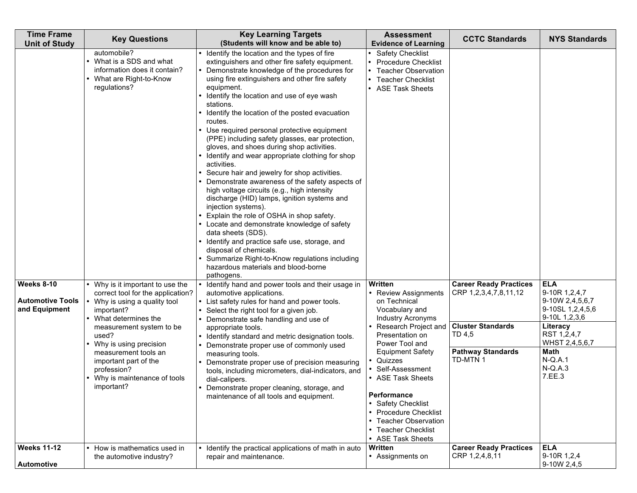| <b>Time Frame</b><br><b>Unit of Study</b>                     | <b>Key Questions</b>                                                                                                                                                                                                                                                                                                          | <b>Key Learning Targets</b><br>(Students will know and be able to)                                                                                                                                                                                                                                                                                                                                                                                                                                                                                                                                                                                                                                                                                                                                                                                                                                                                                                                                                                                                                     | <b>Assessment</b><br><b>Evidence of Learning</b>                                                                                                                                                                                                                                                                                                    | <b>CCTC Standards</b>                                                                                                                | <b>NYS Standards</b>                                                                                                                                                                |
|---------------------------------------------------------------|-------------------------------------------------------------------------------------------------------------------------------------------------------------------------------------------------------------------------------------------------------------------------------------------------------------------------------|----------------------------------------------------------------------------------------------------------------------------------------------------------------------------------------------------------------------------------------------------------------------------------------------------------------------------------------------------------------------------------------------------------------------------------------------------------------------------------------------------------------------------------------------------------------------------------------------------------------------------------------------------------------------------------------------------------------------------------------------------------------------------------------------------------------------------------------------------------------------------------------------------------------------------------------------------------------------------------------------------------------------------------------------------------------------------------------|-----------------------------------------------------------------------------------------------------------------------------------------------------------------------------------------------------------------------------------------------------------------------------------------------------------------------------------------------------|--------------------------------------------------------------------------------------------------------------------------------------|-------------------------------------------------------------------------------------------------------------------------------------------------------------------------------------|
|                                                               | automobile?<br>• What is a SDS and what<br>information does it contain?<br>• What are Right-to-Know<br>regulations?                                                                                                                                                                                                           | • Identify the location and the types of fire<br>extinguishers and other fire safety equipment.<br>Demonstrate knowledge of the procedures for<br>using fire extinguishers and other fire safety<br>equipment.<br>• Identify the location and use of eye wash<br>stations.<br>• Identify the location of the posted evacuation<br>routes.<br>Use required personal protective equipment<br>(PPE) including safety glasses, ear protection,<br>gloves, and shoes during shop activities.<br>• Identify and wear appropriate clothing for shop<br>activities.<br>Secure hair and jewelry for shop activities.<br>Demonstrate awareness of the safety aspects of<br>high voltage circuits (e.g., high intensity<br>discharge (HID) lamps, ignition systems and<br>injection systems).<br>Explain the role of OSHA in shop safety.<br>• Locate and demonstrate knowledge of safety<br>data sheets (SDS).<br>• Identify and practice safe use, storage, and<br>disposal of chemicals.<br>Summarize Right-to-Know regulations including<br>hazardous materials and blood-borne<br>pathogens. | <b>Safety Checklist</b><br><b>Procedure Checklist</b><br><b>Teacher Observation</b><br>• Teacher Checklist<br>• ASE Task Sheets                                                                                                                                                                                                                     |                                                                                                                                      |                                                                                                                                                                                     |
| <b>Weeks 8-10</b><br><b>Automotive Tools</b><br>and Equipment | • Why is it important to use the<br>correct tool for the application?<br>• Why is using a quality tool<br>important?<br>• What determines the<br>measurement system to be<br>used?<br>• Why is using precision<br>measurement tools an<br>important part of the<br>profession?<br>• Why is maintenance of tools<br>important? | • Identify hand and power tools and their usage in<br>automotive applications.<br>• List safety rules for hand and power tools.<br>Select the right tool for a given job.<br>Demonstrate safe handling and use of<br>appropriate tools.<br>• Identify standard and metric designation tools.<br>Demonstrate proper use of commonly used<br>measuring tools.<br>Demonstrate proper use of precision measuring<br>tools, including micrometers, dial-indicators, and<br>dial-calipers.<br>• Demonstrate proper cleaning, storage, and<br>maintenance of all tools and equipment.                                                                                                                                                                                                                                                                                                                                                                                                                                                                                                         | Written<br>• Review Assignments<br>on Technical<br>Vocabulary and<br>Industry Acronyms<br>Research Project and<br>Presentation on<br>Power Tool and<br><b>Equipment Safety</b><br>• Quizzes<br>• Self-Assessment<br>• ASE Task Sheets<br>Performance<br>• Safety Checklist<br>• Procedure Checklist<br>• Teacher Observation<br>• Teacher Checklist | <b>Career Ready Practices</b><br>CRP 1,2,3,4,7,8,11,12<br><b>Cluster Standards</b><br>TD 4,5<br><b>Pathway Standards</b><br>TD-MTN 1 | <b>ELA</b><br>9-10R 1,2,4,7<br>9-10W 2,4,5,6,7<br>9-10SL 1,2,4,5,6<br>9-10L 1,2,3,6<br>Literacy<br>RST 1,2,4,7<br>WHST 2,4,5,6,7<br><b>Math</b><br>$N-Q.A.1$<br>$N-Q.A.3$<br>7.EE.3 |
| <b>Weeks 11-12</b><br><b>Automotive</b>                       | • How is mathematics used in<br>the automotive industry?                                                                                                                                                                                                                                                                      | • Identify the practical applications of math in auto<br>repair and maintenance.                                                                                                                                                                                                                                                                                                                                                                                                                                                                                                                                                                                                                                                                                                                                                                                                                                                                                                                                                                                                       | • ASE Task Sheets<br>Written<br>• Assignments on                                                                                                                                                                                                                                                                                                    | <b>Career Ready Practices</b><br>CRP 1,2,4,8,11                                                                                      | <b>ELA</b><br>9-10R 1,2,4<br>9-10W 2,4,5                                                                                                                                            |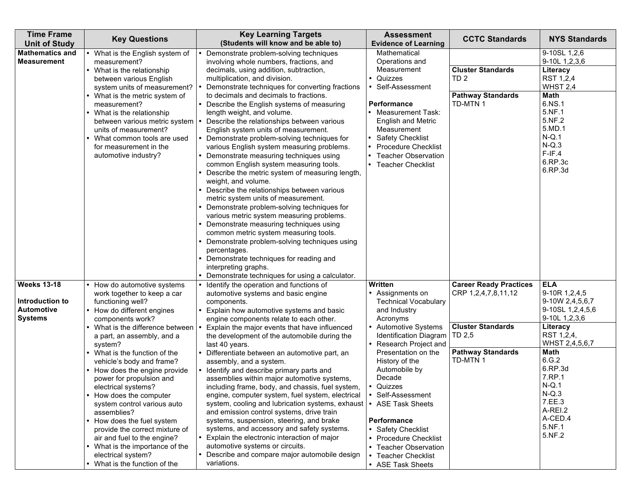| <b>Time Frame</b><br><b>Unit of Study</b>                                    | <b>Key Questions</b>                                                                                                                                                                                                                                                                                                                                                                                                                                                                                                                                                                                                               | <b>Key Learning Targets</b><br>(Students will know and be able to)                                                                                                                                                                                                                                                                                                                                                                                                                                                                                                                                                                                                                                                                                                                                                                                                                                                                                                                                                                                                                                    | <b>Assessment</b><br><b>Evidence of Learning</b>                                                                                                                                                                                                                                                                                                                                                                                             | <b>CCTC Standards</b>                                                                                                              | <b>NYS Standards</b>                                                                                                                                                                                                                            |
|------------------------------------------------------------------------------|------------------------------------------------------------------------------------------------------------------------------------------------------------------------------------------------------------------------------------------------------------------------------------------------------------------------------------------------------------------------------------------------------------------------------------------------------------------------------------------------------------------------------------------------------------------------------------------------------------------------------------|-------------------------------------------------------------------------------------------------------------------------------------------------------------------------------------------------------------------------------------------------------------------------------------------------------------------------------------------------------------------------------------------------------------------------------------------------------------------------------------------------------------------------------------------------------------------------------------------------------------------------------------------------------------------------------------------------------------------------------------------------------------------------------------------------------------------------------------------------------------------------------------------------------------------------------------------------------------------------------------------------------------------------------------------------------------------------------------------------------|----------------------------------------------------------------------------------------------------------------------------------------------------------------------------------------------------------------------------------------------------------------------------------------------------------------------------------------------------------------------------------------------------------------------------------------------|------------------------------------------------------------------------------------------------------------------------------------|-------------------------------------------------------------------------------------------------------------------------------------------------------------------------------------------------------------------------------------------------|
| <b>Mathematics and</b><br><b>Measurement</b>                                 | • What is the English system of<br>measurement?<br>• What is the relationship<br>between various English<br>system units of measurement?<br>• What is the metric system of<br>measurement?<br>• What is the relationship<br>between various metric system<br>units of measurement?<br>What common tools are used<br>for measurement in the<br>automotive industry?                                                                                                                                                                                                                                                                 | Demonstrate problem-solving techniques<br>involving whole numbers, fractions, and<br>decimals, using addition, subtraction,<br>multiplication, and division.<br>Demonstrate techniques for converting fractions<br>to decimals and decimals to fractions.<br>• Describe the English systems of measuring<br>length weight, and volume.<br>Describe the relationships between various<br>English system units of measurement.<br>Demonstrate problem-solving techniques for<br>various English system measuring problems.<br>Demonstrate measuring techniques using<br>common English system measuring tools.<br>• Describe the metric system of measuring length,<br>weight, and volume.<br>• Describe the relationships between various<br>metric system units of measurement.<br>• Demonstrate problem-solving techniques for<br>various metric system measuring problems.<br>• Demonstrate measuring techniques using<br>common metric system measuring tools.<br>Demonstrate problem-solving techniques using<br>percentages.<br>• Demonstrate techniques for reading and<br>interpreting graphs. | Mathematical<br>Operations and<br>Measurement<br>• Quizzes<br>Self-Assessment<br><b>Performance</b><br>• Measurement Task:<br><b>English and Metric</b><br>Measurement<br><b>Safety Checklist</b><br><b>Procedure Checklist</b><br><b>Teacher Observation</b><br>• Teacher Checklist                                                                                                                                                         | <b>Cluster Standards</b><br>TD <sub>2</sub><br><b>Pathway Standards</b><br>TD-MTN 1                                                | 9-10SL 1,2,6<br>9-10L 1,2,3,6<br>Literacy<br>RST 1,2,4<br>WHST 2,4<br>Math<br>6.NS.1<br>5.NF.1<br>5.NF.2<br>5.MD.1<br>$N-Q.1$<br>$N-Q.3$<br>$F-IF.4$<br>6.RP.3c<br>6.RP.3d                                                                      |
| <b>Weeks 13-18</b><br>Introduction to<br><b>Automotive</b><br><b>Systems</b> | • How do automotive systems<br>work together to keep a car<br>functioning well?<br>• How do different engines<br>components work?<br>• What is the difference between<br>a part, an assembly, and a<br>system?<br>• What is the function of the<br>vehicle's body and frame?<br>• How does the engine provide<br>power for propulsion and<br>electrical systems?<br>• How does the computer<br>system control various auto<br>assemblies?<br>• How does the fuel system<br>provide the correct mixture of<br>air and fuel to the engine?<br>• What is the importance of the<br>electrical system?<br>• What is the function of the | Demonstrate techniques for using a calculator.<br>Identify the operation and functions of<br>automotive systems and basic engine<br>components.<br>• Explain how automotive systems and basic<br>engine components relate to each other.<br>Explain the major events that have influenced<br>the development of the automobile during the<br>last 40 years.<br>Differentiate between an automotive part, an<br>assembly, and a system.<br>• Identify and describe primary parts and<br>assemblies within major automotive systems,<br>including frame, body, and chassis, fuel system,<br>engine, computer system, fuel system, electrical<br>system, cooling and lubrication systems, exhaust<br>and emission control systems, drive train<br>systems, suspension, steering, and brake<br>systems, and accessory and safety systems.<br>• Explain the electronic interaction of major<br>automotive systems or circuits.<br>• Describe and compare major automobile design<br>variations.                                                                                                            | Written<br>• Assignments on<br><b>Technical Vocabulary</b><br>and Industry<br>Acronyms<br><b>Automotive Systems</b><br><b>Identification Diagram</b><br>• Research Project and<br>Presentation on the<br>History of the<br>Automobile by<br>Decade<br>• Quizzes<br>• Self-Assessment<br>• ASE Task Sheets<br>Performance<br>• Safety Checklist<br>• Procedure Checklist<br>• Teacher Observation<br>• Teacher Checklist<br>• ASE Task Sheets | <b>Career Ready Practices</b><br>CRP 1,2,4,7,8,11,12<br><b>Cluster Standards</b><br>TD 2,5<br><b>Pathway Standards</b><br>TD-MTN 1 | <b>ELA</b><br>9-10R 1,2,4,5<br>9-10W 2,4,5,6,7<br>9-10SL 1,2,4,5,6<br>9-10L 1,2,3,6<br>Literacy<br>RST 1,2,4,<br>WHST 2,4,5,6,7<br>Math<br>6.G.2<br>6.RP.3d<br>7.RP.1<br>$N-Q.1$<br>$N-Q.3$<br>7.EE.3<br>A-REI.2<br>A-CED.4<br>5.NF.1<br>5.NF.2 |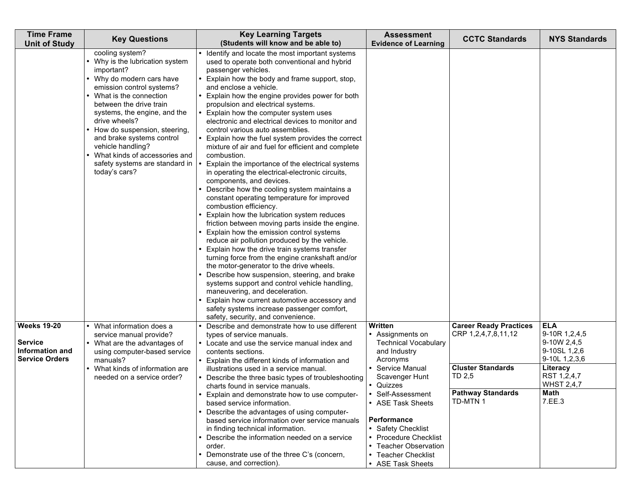| <b>Time Frame</b><br><b>Unit of Study</b>                                        | <b>Key Questions</b>                                                                                                                                                                                                                                                                                                                                                                                         | <b>Key Learning Targets</b><br>(Students will know and be able to)                                                                                                                                                                                                                                                                                                                                                                                                                                                                                                                                                                                                                                                                                                                                                                                                                                                                                                                                                                                                                                                                                                                                                                                                                                                                                                                             | <b>Assessment</b><br><b>Evidence of Learning</b>                                                                                                                                                                                                                                                                     | <b>CCTC Standards</b>                                                                                                              | <b>NYS Standards</b>                                                                                                                          |
|----------------------------------------------------------------------------------|--------------------------------------------------------------------------------------------------------------------------------------------------------------------------------------------------------------------------------------------------------------------------------------------------------------------------------------------------------------------------------------------------------------|------------------------------------------------------------------------------------------------------------------------------------------------------------------------------------------------------------------------------------------------------------------------------------------------------------------------------------------------------------------------------------------------------------------------------------------------------------------------------------------------------------------------------------------------------------------------------------------------------------------------------------------------------------------------------------------------------------------------------------------------------------------------------------------------------------------------------------------------------------------------------------------------------------------------------------------------------------------------------------------------------------------------------------------------------------------------------------------------------------------------------------------------------------------------------------------------------------------------------------------------------------------------------------------------------------------------------------------------------------------------------------------------|----------------------------------------------------------------------------------------------------------------------------------------------------------------------------------------------------------------------------------------------------------------------------------------------------------------------|------------------------------------------------------------------------------------------------------------------------------------|-----------------------------------------------------------------------------------------------------------------------------------------------|
|                                                                                  | cooling system?<br>• Why is the lubrication system<br>important?<br>• Why do modern cars have<br>emission control systems?<br>• What is the connection<br>between the drive train<br>systems, the engine, and the<br>drive wheels?<br>• How do suspension, steering,<br>and brake systems control<br>vehicle handling?<br>• What kinds of accessories and<br>safety systems are standard in<br>today's cars? | • Identify and locate the most important systems<br>used to operate both conventional and hybrid<br>passenger vehicles.<br>Explain how the body and frame support, stop,<br>and enclose a vehicle.<br>Explain how the engine provides power for both<br>propulsion and electrical systems.<br>Explain how the computer system uses<br>electronic and electrical devices to monitor and<br>control various auto assemblies.<br>Explain how the fuel system provides the correct<br>mixture of air and fuel for efficient and complete<br>combustion.<br>Explain the importance of the electrical systems<br>in operating the electrical-electronic circuits,<br>components, and devices.<br>Describe how the cooling system maintains a<br>constant operating temperature for improved<br>combustion efficiency.<br>Explain how the lubrication system reduces<br>friction between moving parts inside the engine.<br>Explain how the emission control systems<br>reduce air pollution produced by the vehicle.<br>Explain how the drive train systems transfer<br>turning force from the engine crankshaft and/or<br>the motor-generator to the drive wheels.<br>Describe how suspension, steering, and brake<br>systems support and control vehicle handling,<br>maneuvering, and deceleration.<br>Explain how current automotive accessory and<br>safety systems increase passenger comfort, |                                                                                                                                                                                                                                                                                                                      |                                                                                                                                    |                                                                                                                                               |
| <b>Weeks 19-20</b><br><b>Service</b><br>Information and<br><b>Service Orders</b> | • What information does a<br>service manual provide?<br>• What are the advantages of<br>using computer-based service<br>manuals?<br>• What kinds of information are<br>needed on a service order?                                                                                                                                                                                                            | safety, security, and convenience.<br>Describe and demonstrate how to use different<br>types of service manuals.<br>• Locate and use the service manual index and<br>contents sections.<br>Explain the different kinds of information and<br>illustrations used in a service manual.<br>• Describe the three basic types of troubleshooting<br>charts found in service manuals.<br>Explain and demonstrate how to use computer-<br>based service information.<br>• Describe the advantages of using computer-<br>based service information over service manuals<br>in finding technical information.<br>Describe the information needed on a service<br>order.<br>Demonstrate use of the three C's (concern,<br>cause, and correction).                                                                                                                                                                                                                                                                                                                                                                                                                                                                                                                                                                                                                                                        | Written<br>• Assignments on<br><b>Technical Vocabulary</b><br>and Industry<br>Acronyms<br>• Service Manual<br>Scavenger Hunt<br>• Quizzes<br>Self-Assessment<br>• ASE Task Sheets<br>Performance<br>• Safety Checklist<br>• Procedure Checklist<br>• Teacher Observation<br>• Teacher Checklist<br>• ASE Task Sheets | <b>Career Ready Practices</b><br>CRP 1,2,4,7,8,11,12<br><b>Cluster Standards</b><br>TD 2,5<br><b>Pathway Standards</b><br>TD-MTN 1 | <b>ELA</b><br>9-10R 1,2,4,5<br>9-10W 2,4,5<br>9-10SL 1,2,6<br>9-10L 1,2,3,6<br>Literacy<br>RST 1,2,4,7<br><b>WHST 2,4,7</b><br>Math<br>7.EE.3 |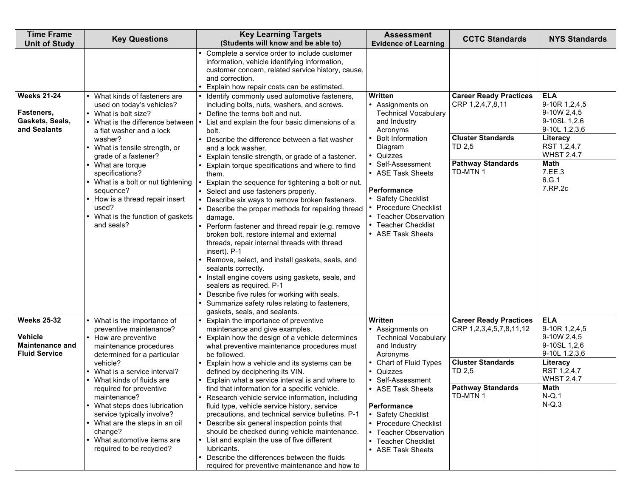| <b>Time Frame</b><br><b>Unit of Study</b>                                              | <b>Key Questions</b>                                                                                                                                                                                                                                                                                                                                                                                                         | <b>Key Learning Targets</b><br>(Students will know and be able to)                                                                                                                                                                                                                                                                                                                                                                                                                                                                                                                                                                                                                                                                                                                                                                                                                                                                                                                                                                                                                                     | <b>Assessment</b><br><b>Evidence of Learning</b>                                                                                                                                                                                                                                                                                 | <b>CCTC Standards</b>                                                                                                                  | <b>NYS Standards</b>                                                                                                                                                |
|----------------------------------------------------------------------------------------|------------------------------------------------------------------------------------------------------------------------------------------------------------------------------------------------------------------------------------------------------------------------------------------------------------------------------------------------------------------------------------------------------------------------------|--------------------------------------------------------------------------------------------------------------------------------------------------------------------------------------------------------------------------------------------------------------------------------------------------------------------------------------------------------------------------------------------------------------------------------------------------------------------------------------------------------------------------------------------------------------------------------------------------------------------------------------------------------------------------------------------------------------------------------------------------------------------------------------------------------------------------------------------------------------------------------------------------------------------------------------------------------------------------------------------------------------------------------------------------------------------------------------------------------|----------------------------------------------------------------------------------------------------------------------------------------------------------------------------------------------------------------------------------------------------------------------------------------------------------------------------------|----------------------------------------------------------------------------------------------------------------------------------------|---------------------------------------------------------------------------------------------------------------------------------------------------------------------|
|                                                                                        |                                                                                                                                                                                                                                                                                                                                                                                                                              | Complete a service order to include customer<br>information, vehicle identifying information,<br>customer concern, related service history, cause,<br>and correction.                                                                                                                                                                                                                                                                                                                                                                                                                                                                                                                                                                                                                                                                                                                                                                                                                                                                                                                                  |                                                                                                                                                                                                                                                                                                                                  |                                                                                                                                        |                                                                                                                                                                     |
| <b>Weeks 21-24</b><br>Fasteners,<br>Gaskets, Seals,<br>and Sealants                    | What kinds of fasteners are<br>used on today's vehicles?<br>• What is bolt size?<br>What is the difference between<br>a flat washer and a lock<br>washer?<br>What is tensile strength, or<br>grade of a fastener?<br>What are torque<br>specifications?<br>What is a bolt or nut tightening<br>sequence?<br>How is a thread repair insert<br>used?<br>What is the function of gaskets<br>and seals?                          | Explain how repair costs can be estimated.<br>Identify commonly used automotive fasteners,<br>including bolts, nuts, washers, and screws.<br>Define the terms bolt and nut.<br>List and explain the four basic dimensions of a<br>bolt.<br>Describe the difference between a flat washer<br>and a lock washer.<br>Explain tensile strength, or grade of a fastener.<br>Explain torque specifications and where to find<br>them.<br>Explain the sequence for tightening a bolt or nut.<br>Select and use fasteners properly.<br>Describe six ways to remove broken fasteners.<br>Describe the proper methods for repairing thread<br>damage.<br>Perform fastener and thread repair (e.g. remove<br>broken bolt, restore internal and external<br>threads, repair internal threads with thread<br>insert). P-1<br>Remove, select, and install gaskets, seals, and<br>sealants correctly.<br>Install engine covers using gaskets, seals, and<br>sealers as required. P-1<br>Describe five rules for working with seals.<br>Summarize safety rules relating to fasteners,<br>gaskets, seals, and sealants. | Written<br>• Assignments on<br><b>Technical Vocabulary</b><br>and Industry<br>Acronyms<br><b>Bolt Information</b><br>Diagram<br>• Quizzes<br>Self-Assessment<br>• ASE Task Sheets<br><b>Performance</b><br>• Safety Checklist<br>• Procedure Checklist<br>• Teacher Observation<br><b>Teacher Checklist</b><br>• ASE Task Sheets | <b>Career Ready Practices</b><br>CRP 1,2,4,7,8,11<br><b>Cluster Standards</b><br>TD 2.5<br><b>Pathway Standards</b><br>TD-MTN 1        | <b>ELA</b><br>9-10R 1,2,4,5<br>9-10W 2,4,5<br>9-10SL 1,2,6<br>9-10L 1,2,3,6<br>Literacy<br>RST 1,2,4,7<br><b>WHST 2,4,7</b><br>Math<br>7.EE.3<br>6.G.1<br>7.RP.2c   |
| <b>Weeks 25-32</b><br><b>Vehicle</b><br><b>Maintenance and</b><br><b>Fluid Service</b> | What is the importance of<br>preventive maintenance?<br>• How are preventive<br>maintenance procedures<br>determined for a particular<br>vehicle?<br>What is a service interval?<br>What kinds of fluids are<br>required for preventive<br>maintenance?<br>• What steps does lubrication<br>service typically involve?<br>• What are the steps in an oil<br>change?<br>What automotive items are<br>required to be recycled? | Explain the importance of preventive<br>maintenance and give examples.<br>Explain how the design of a vehicle determines<br>what preventive maintenance procedures must<br>be followed.<br>Explain how a vehicle and its systems can be<br>defined by deciphering its VIN.<br>Explain what a service interval is and where to<br>find that information for a specific vehicle.<br>Research vehicle service information, including<br>fluid type, vehicle service history, service<br>precautions, and technical service bulletins. P-1<br>Describe six general inspection points that<br>should be checked during vehicle maintenance.<br>• List and explain the use of five different<br>lubricants.<br>Describe the differences between the fluids<br>required for preventive maintenance and how to                                                                                                                                                                                                                                                                                                 | Written<br>• Assignments on<br><b>Technical Vocabulary</b><br>and Industry<br>Acronyms<br>Chart of Fluid Types<br>Quizzes<br>Self-Assessment<br>ASE Task Sheets<br><b>Performance</b><br>• Safety Checklist<br>• Procedure Checklist<br>• Teacher Observation<br>• Teacher Checklist<br>• ASE Task Sheets                        | <b>Career Ready Practices</b><br>CRP 1,2,3,4,5,7,8,11,12<br><b>Cluster Standards</b><br>TD 2,5<br><b>Pathway Standards</b><br>TD-MTN 1 | <b>ELA</b><br>9-10R 1, 2, 4, 5<br>9-10W 2,4,5<br>9-10SL 1,2,6<br>9-10L 1,2,3,6<br>Literacy<br>RST 1,2,4,7<br><b>WHST 2,4,7</b><br><b>Math</b><br>$N-Q.1$<br>$N-Q.3$ |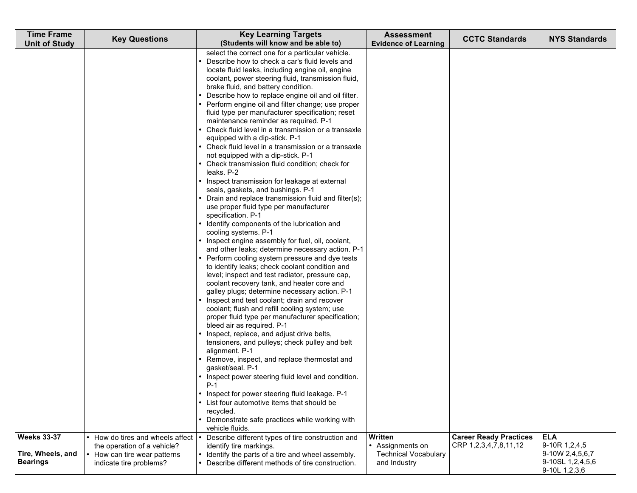| <b>Time Frame</b>                    | <b>Key Questions</b>                                            | <b>Key Learning Targets</b>                                                                                                                                                                                                                                                                                                                                                                                                                                                                                                                                                                                                                                                                                                                                                                                                                                                                                                                                                                                                                                                                                                                                                                                                                                                                                                                                                                                                                                                                                                                                                                                                                                                                                                                                                                                                                                                                                                                              | <b>Assessment</b>                           | <b>CCTC Standards</b>                                  | <b>NYS Standards</b>                                 |
|--------------------------------------|-----------------------------------------------------------------|----------------------------------------------------------------------------------------------------------------------------------------------------------------------------------------------------------------------------------------------------------------------------------------------------------------------------------------------------------------------------------------------------------------------------------------------------------------------------------------------------------------------------------------------------------------------------------------------------------------------------------------------------------------------------------------------------------------------------------------------------------------------------------------------------------------------------------------------------------------------------------------------------------------------------------------------------------------------------------------------------------------------------------------------------------------------------------------------------------------------------------------------------------------------------------------------------------------------------------------------------------------------------------------------------------------------------------------------------------------------------------------------------------------------------------------------------------------------------------------------------------------------------------------------------------------------------------------------------------------------------------------------------------------------------------------------------------------------------------------------------------------------------------------------------------------------------------------------------------------------------------------------------------------------------------------------------------|---------------------------------------------|--------------------------------------------------------|------------------------------------------------------|
| <b>Unit of Study</b>                 |                                                                 | (Students will know and be able to)<br>select the correct one for a particular vehicle.<br>Describe how to check a car's fluid levels and<br>locate fluid leaks, including engine oil, engine<br>coolant, power steering fluid, transmission fluid,<br>brake fluid, and battery condition.<br>Describe how to replace engine oil and oil filter.<br>Perform engine oil and filter change; use proper<br>fluid type per manufacturer specification; reset<br>maintenance reminder as required. P-1<br>Check fluid level in a transmission or a transaxle<br>equipped with a dip-stick. P-1<br>• Check fluid level in a transmission or a transaxle<br>not equipped with a dip-stick. P-1<br>• Check transmission fluid condition; check for<br>leaks. P-2<br>Inspect transmission for leakage at external<br>seals, gaskets, and bushings. P-1<br>Drain and replace transmission fluid and filter(s);<br>use proper fluid type per manufacturer<br>specification. P-1<br>Identify components of the lubrication and<br>cooling systems. P-1<br>Inspect engine assembly for fuel, oil, coolant,<br>and other leaks; determine necessary action. P-1<br>Perform cooling system pressure and dye tests<br>to identify leaks; check coolant condition and<br>level; inspect and test radiator, pressure cap,<br>coolant recovery tank, and heater core and<br>galley plugs; determine necessary action. P-1<br>Inspect and test coolant; drain and recover<br>coolant; flush and refill cooling system; use<br>proper fluid type per manufacturer specification;<br>bleed air as required. P-1<br>Inspect, replace, and adjust drive belts,<br>tensioners, and pulleys; check pulley and belt<br>alignment. P-1<br>Remove, inspect, and replace thermostat and<br>gasket/seal. P-1<br>Inspect power steering fluid level and condition.<br>$P-1$<br>Inspect for power steering fluid leakage. P-1<br>• List four automotive items that should be<br>recycled. | <b>Evidence of Learning</b>                 |                                                        |                                                      |
|                                      |                                                                 | • Demonstrate safe practices while working with<br>vehicle fluids.                                                                                                                                                                                                                                                                                                                                                                                                                                                                                                                                                                                                                                                                                                                                                                                                                                                                                                                                                                                                                                                                                                                                                                                                                                                                                                                                                                                                                                                                                                                                                                                                                                                                                                                                                                                                                                                                                       |                                             |                                                        |                                                      |
| <b>Weeks 33-37</b>                   | • How do tires and wheels affect<br>the operation of a vehicle? | Describe different types of tire construction and<br>identify tire markings.                                                                                                                                                                                                                                                                                                                                                                                                                                                                                                                                                                                                                                                                                                                                                                                                                                                                                                                                                                                                                                                                                                                                                                                                                                                                                                                                                                                                                                                                                                                                                                                                                                                                                                                                                                                                                                                                             | Written<br>• Assignments on                 | <b>Career Ready Practices</b><br>CRP 1,2,3,4,7,8,11,12 | <b>ELA</b><br>9-10R 1,2,4,5                          |
| Tire, Wheels, and<br><b>Bearings</b> | How can tire wear patterns<br>indicate tire problems?           | Identify the parts of a tire and wheel assembly.<br>Describe different methods of tire construction.                                                                                                                                                                                                                                                                                                                                                                                                                                                                                                                                                                                                                                                                                                                                                                                                                                                                                                                                                                                                                                                                                                                                                                                                                                                                                                                                                                                                                                                                                                                                                                                                                                                                                                                                                                                                                                                     | <b>Technical Vocabulary</b><br>and Industry |                                                        | 9-10W 2,4,5,6,7<br>9-10SL 1,2,4,5,6<br>9-10L 1,2,3,6 |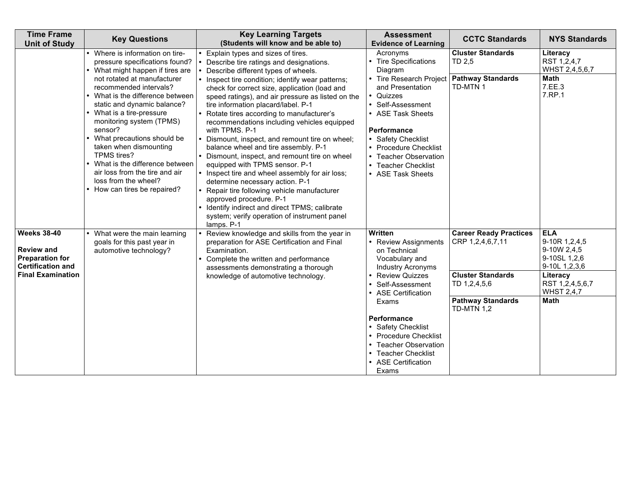| <b>Time Frame</b><br><b>Unit of Study</b>                                                                                 | <b>Key Questions</b>                                                                                                                                                                                                                                                                                                                                                                          | <b>Key Learning Targets</b><br>(Students will know and be able to)                                                                                                                                                                                                                                                                                                                                                                                                                                                                                                                                                                                                                                                                                                  | <b>Assessment</b><br><b>Evidence of Learning</b>                                                                                                                                                                                                                                                                        | <b>CCTC Standards</b>                                                                                                                          | <b>NYS Standards</b>                                                                                                                           |
|---------------------------------------------------------------------------------------------------------------------------|-----------------------------------------------------------------------------------------------------------------------------------------------------------------------------------------------------------------------------------------------------------------------------------------------------------------------------------------------------------------------------------------------|---------------------------------------------------------------------------------------------------------------------------------------------------------------------------------------------------------------------------------------------------------------------------------------------------------------------------------------------------------------------------------------------------------------------------------------------------------------------------------------------------------------------------------------------------------------------------------------------------------------------------------------------------------------------------------------------------------------------------------------------------------------------|-------------------------------------------------------------------------------------------------------------------------------------------------------------------------------------------------------------------------------------------------------------------------------------------------------------------------|------------------------------------------------------------------------------------------------------------------------------------------------|------------------------------------------------------------------------------------------------------------------------------------------------|
|                                                                                                                           | Where is information on tire-<br>pressure specifications found?<br>What might happen if tires are                                                                                                                                                                                                                                                                                             | Explain types and sizes of tires.<br>Describe tire ratings and designations.<br>Describe different types of wheels.                                                                                                                                                                                                                                                                                                                                                                                                                                                                                                                                                                                                                                                 | Acronyms<br>• Tire Specifications<br>Diagram                                                                                                                                                                                                                                                                            | <b>Cluster Standards</b><br>TD 2,5                                                                                                             | Literacy<br>RST 1,2,4,7<br>WHST 2,4,5,6,7                                                                                                      |
|                                                                                                                           | not rotated at manufacturer<br>recommended intervals?<br>• What is the difference between<br>static and dynamic balance?<br>What is a tire-pressure<br>monitoring system (TPMS)<br>sensor?<br>What precautions should be<br>taken when dismounting<br>TPMS tires?<br>What is the difference between<br>air loss from the tire and air<br>loss from the wheel?<br>• How can tires be repaired? | Inspect tire condition; identify wear patterns;<br>check for correct size, application (load and<br>speed ratings), and air pressure as listed on the<br>tire information placard/label. P-1<br>Rotate tires according to manufacturer's<br>recommendations including vehicles equipped<br>with TPMS. P-1<br>Dismount, inspect, and remount tire on wheel;<br>balance wheel and tire assembly. P-1<br>• Dismount, inspect, and remount tire on wheel<br>equipped with TPMS sensor. P-1<br>Inspect tire and wheel assembly for air loss;<br>determine necessary action. P-1<br>Repair tire following vehicle manufacturer<br>approved procedure. P-1<br>• Identify indirect and direct TPMS; calibrate<br>system; verify operation of instrument panel<br>lamps. P-1 | • Tire Research Project   Pathway Standards<br>and Presentation<br>• Quizzes<br>• Self-Assessment<br>• ASE Task Sheets<br><b>Performance</b><br>• Safety Checklist<br>• Procedure Checklist<br>• Teacher Observation<br>• Teacher Checklist<br>• ASE Task Sheets                                                        | TD-MTN 1                                                                                                                                       | Math<br>7.EE.3<br>7.RP.1                                                                                                                       |
| <b>Weeks 38-40</b><br><b>Review and</b><br><b>Preparation for</b><br><b>Certification and</b><br><b>Final Examination</b> | What were the main learning<br>goals for this past year in<br>automotive technology?                                                                                                                                                                                                                                                                                                          | Review knowledge and skills from the year in<br>preparation for ASE Certification and Final<br>Examination.<br>Complete the written and performance<br>assessments demonstrating a thorough<br>knowledge of automotive technology.                                                                                                                                                                                                                                                                                                                                                                                                                                                                                                                                  | Written<br>• Review Assignments<br>on Technical<br>Vocabulary and<br><b>Industry Acronyms</b><br><b>Review Quizzes</b><br>Self-Assessment<br>• ASE Certification<br>Exams<br>Performance<br>• Safety Checklist<br>• Procedure Checklist<br>• Teacher Observation<br>• Teacher Checklist<br>• ASE Certification<br>Exams | <b>Career Ready Practices</b><br>CRP 1,2,4,6,7,11<br><b>Cluster Standards</b><br>TD 1,2,4,5,6<br><b>Pathway Standards</b><br><b>TD-MTN 1,2</b> | <b>ELA</b><br>9-10R 1,2,4,5<br>9-10W 2,4,5<br>9-10SL 1,2,6<br>9-10L 1,2,3,6<br>Literacy<br>RST 1,2,4,5,6,7<br><b>WHST 2,4,7</b><br><b>Math</b> |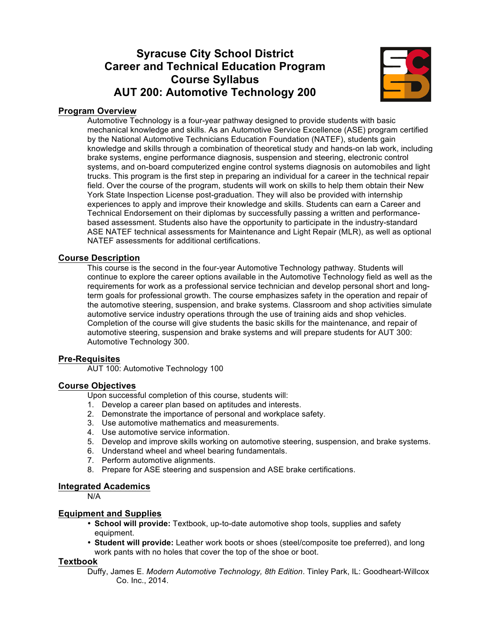# **Syracuse City School District Career and Technical Education Program Course Syllabus AUT 200: Automotive Technology 200**



# **Program Overview**

Automotive Technology is a four-year pathway designed to provide students with basic mechanical knowledge and skills. As an Automotive Service Excellence (ASE) program certified by the National Automotive Technicians Education Foundation (NATEF), students gain knowledge and skills through a combination of theoretical study and hands-on lab work, including brake systems, engine performance diagnosis, suspension and steering, electronic control systems, and on-board computerized engine control systems diagnosis on automobiles and light trucks. This program is the first step in preparing an individual for a career in the technical repair field. Over the course of the program, students will work on skills to help them obtain their New York State Inspection License post-graduation. They will also be provided with internship experiences to apply and improve their knowledge and skills. Students can earn a Career and Technical Endorsement on their diplomas by successfully passing a written and performancebased assessment. Students also have the opportunity to participate in the industry-standard ASE NATEF technical assessments for Maintenance and Light Repair (MLR), as well as optional NATEF assessments for additional certifications.

#### **Course Description**

This course is the second in the four-year Automotive Technology pathway. Students will continue to explore the career options available in the Automotive Technology field as well as the requirements for work as a professional service technician and develop personal short and longterm goals for professional growth. The course emphasizes safety in the operation and repair of the automotive steering, suspension, and brake systems. Classroom and shop activities simulate automotive service industry operations through the use of training aids and shop vehicles. Completion of the course will give students the basic skills for the maintenance, and repair of automotive steering, suspension and brake systems and will prepare students for AUT 300: Automotive Technology 300.

#### **Pre-Requisites**

AUT 100: Automotive Technology 100

#### **Course Objectives**

Upon successful completion of this course, students will:

- 1. Develop a career plan based on aptitudes and interests.
- 2. Demonstrate the importance of personal and workplace safety.
- 3. Use automotive mathematics and measurements.
- 4. Use automotive service information.
- 5. Develop and improve skills working on automotive steering, suspension, and brake systems.
- 6. Understand wheel and wheel bearing fundamentals.
- 7. Perform automotive alignments.
- 8. Prepare for ASE steering and suspension and ASE brake certifications.

#### **Integrated Academics**

N/A

#### **Equipment and Supplies**

- **School will provide:** Textbook, up-to-date automotive shop tools, supplies and safety equipment.
- **Student will provide:** Leather work boots or shoes (steel/composite toe preferred), and long work pants with no holes that cover the top of the shoe or boot.

#### **Textbook**

Duffy, James E. *Modern Automotive Technology, 8th Edition*. Tinley Park, IL: Goodheart-Willcox Co. Inc., 2014.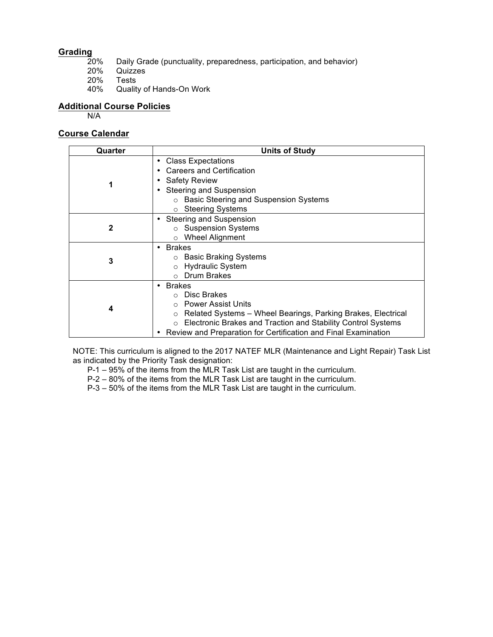# **Grading**

- 20% Daily Grade (punctuality, preparedness, participation, and behavior)<br>20% Quizzes
- 20% Quizzes
- 20% Tests<br>40% Quality
- Quality of Hands-On Work

#### **Additional Course Policies**

N/A

## **Course Calendar**

| Quarter      | <b>Units of Study</b>                                                                                                                                                                                                                               |
|--------------|-----------------------------------------------------------------------------------------------------------------------------------------------------------------------------------------------------------------------------------------------------|
| 1            | <b>Class Expectations</b><br>Careers and Certification<br><b>Safety Review</b><br><b>Steering and Suspension</b><br>o Basic Steering and Suspension Systems<br><b>Steering Systems</b>                                                              |
| $\mathbf{2}$ | <b>Steering and Suspension</b><br>○ Suspension Systems<br><b>Wheel Alignment</b><br>$\circ$                                                                                                                                                         |
| 3            | <b>Brakes</b><br>○ Basic Braking Systems<br><b>Hydraulic System</b><br>Drum Brakes                                                                                                                                                                  |
| 4            | • Brakes<br>⊙ Disc Brakes<br>○ Power Assist Units<br>Related Systems - Wheel Bearings, Parking Brakes, Electrical<br>Electronic Brakes and Traction and Stability Control Systems<br>Review and Preparation for Certification and Final Examination |

NOTE: This curriculum is aligned to the 2017 NATEF MLR (Maintenance and Light Repair) Task List as indicated by the Priority Task designation:

P-1 – 95% of the items from the MLR Task List are taught in the curriculum.

P-2 – 80% of the items from the MLR Task List are taught in the curriculum.

P-3 – 50% of the items from the MLR Task List are taught in the curriculum.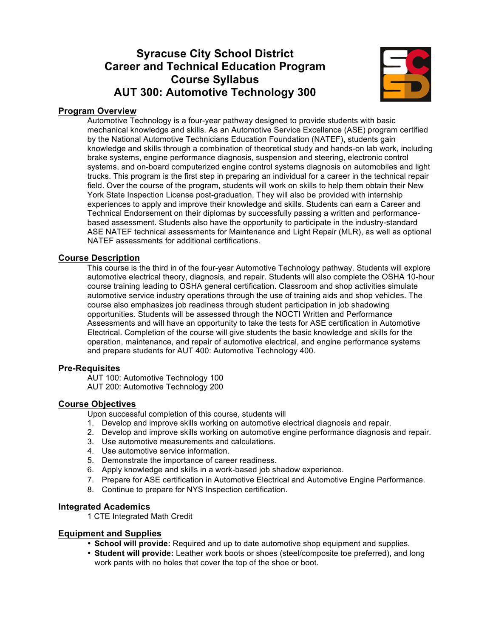# **Syracuse City School District Career and Technical Education Program Course Syllabus AUT 300: Automotive Technology 300**



# **Program Overview**

Automotive Technology is a four-year pathway designed to provide students with basic mechanical knowledge and skills. As an Automotive Service Excellence (ASE) program certified by the National Automotive Technicians Education Foundation (NATEF), students gain knowledge and skills through a combination of theoretical study and hands-on lab work, including brake systems, engine performance diagnosis, suspension and steering, electronic control systems, and on-board computerized engine control systems diagnosis on automobiles and light trucks. This program is the first step in preparing an individual for a career in the technical repair field. Over the course of the program, students will work on skills to help them obtain their New York State Inspection License post-graduation. They will also be provided with internship experiences to apply and improve their knowledge and skills. Students can earn a Career and Technical Endorsement on their diplomas by successfully passing a written and performancebased assessment. Students also have the opportunity to participate in the industry-standard ASE NATEF technical assessments for Maintenance and Light Repair (MLR), as well as optional NATEF assessments for additional certifications.

#### **Course Description**

This course is the third in of the four-year Automotive Technology pathway. Students will explore automotive electrical theory, diagnosis, and repair. Students will also complete the OSHA 10-hour course training leading to OSHA general certification. Classroom and shop activities simulate automotive service industry operations through the use of training aids and shop vehicles. The course also emphasizes job readiness through student participation in job shadowing opportunities. Students will be assessed through the NOCTI Written and Performance Assessments and will have an opportunity to take the tests for ASE certification in Automotive Electrical. Completion of the course will give students the basic knowledge and skills for the operation, maintenance, and repair of automotive electrical, and engine performance systems and prepare students for AUT 400: Automotive Technology 400.

#### **Pre-Requisites**

AUT 100: Automotive Technology 100 AUT 200: Automotive Technology 200

#### **Course Objectives**

Upon successful completion of this course, students will

- 1. Develop and improve skills working on automotive electrical diagnosis and repair.
- 2. Develop and improve skills working on automotive engine performance diagnosis and repair.
- 3. Use automotive measurements and calculations.
- 4. Use automotive service information.
- 5. Demonstrate the importance of career readiness.
- 6. Apply knowledge and skills in a work-based job shadow experience.
- 7. Prepare for ASE certification in Automotive Electrical and Automotive Engine Performance.
- 8. Continue to prepare for NYS Inspection certification.

#### **Integrated Academics**

1 CTE Integrated Math Credit

#### **Equipment and Supplies**

- **School will provide:** Required and up to date automotive shop equipment and supplies.
- **Student will provide:** Leather work boots or shoes (steel/composite toe preferred), and long work pants with no holes that cover the top of the shoe or boot.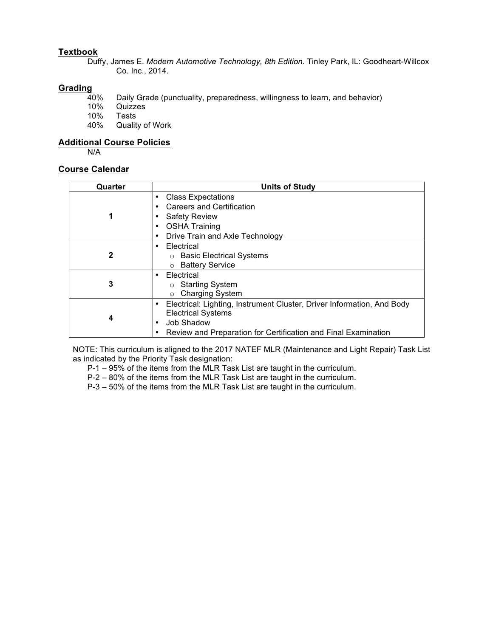# **Textbook**

Duffy, James E. *Modern Automotive Technology, 8th Edition*. Tinley Park, IL: Goodheart-Willcox Co. Inc., 2014.

# **Grading**

- 40% Daily Grade (punctuality, preparedness, willingness to learn, and behavior)
- 10% Quizzes<br>10% Tests
- 10% Tests<br>40% Quality

Quality of Work

#### **Additional Course Policies**

N/A

### **Course Calendar**

| Quarter      | <b>Units of Study</b>                                                                                                                                                                         |
|--------------|-----------------------------------------------------------------------------------------------------------------------------------------------------------------------------------------------|
|              | <b>Class Expectations</b><br>$\bullet$<br>Careers and Certification<br><b>Safety Review</b><br><b>OSHA Training</b><br>Drive Train and Axle Technology                                        |
| $\mathbf{2}$ | Electrical<br>٠<br>○ Basic Electrical Systems<br>○ Battery Service                                                                                                                            |
| 3            | Electrical<br>٠<br>○ Starting System<br><b>Charging System</b><br>$\circ$                                                                                                                     |
| 4            | Electrical: Lighting, Instrument Cluster, Driver Information, And Body<br>٠<br><b>Electrical Systems</b><br>Job Shadow<br>٠<br>Review and Preparation for Certification and Final Examination |

NOTE: This curriculum is aligned to the 2017 NATEF MLR (Maintenance and Light Repair) Task List as indicated by the Priority Task designation:

P-1 – 95% of the items from the MLR Task List are taught in the curriculum.

P-2 – 80% of the items from the MLR Task List are taught in the curriculum.

P-3 – 50% of the items from the MLR Task List are taught in the curriculum.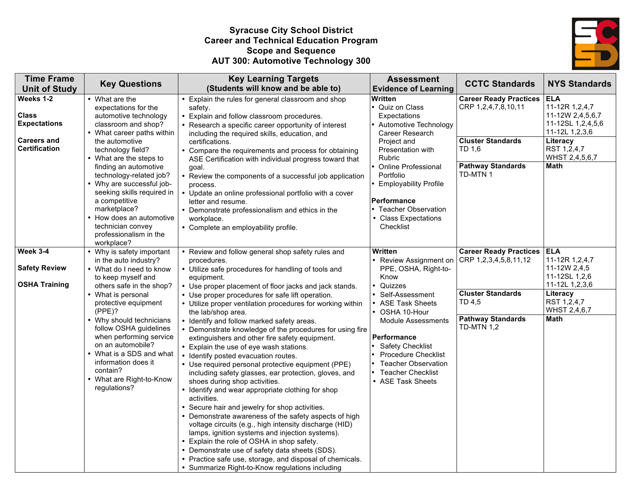# **Syracuse City School District Career and Technical Education Program Scope and Sequence AUT 300: Automotive Technology 300**



| <b>Time Frame</b><br><b>Unit of Study</b>        | <b>Key Questions</b>                                                                                                                                                                                                                                                                                                                                                         | <b>Key Learning Targets</b><br>(Students will know and be able to)                                                                                                                                                                                                                                                                                                                                                                                                                                                                                                                                                                                                                                                                                                                                                                                                                                                                                                                                                                                                                                                                                                                       | <b>Assessment</b><br><b>Evidence of Learning</b>                                                                                                                                                                                                                                                                       | <b>CCTC Standards</b>                                                               | <b>NYS Standards</b>                                                                               |
|--------------------------------------------------|------------------------------------------------------------------------------------------------------------------------------------------------------------------------------------------------------------------------------------------------------------------------------------------------------------------------------------------------------------------------------|------------------------------------------------------------------------------------------------------------------------------------------------------------------------------------------------------------------------------------------------------------------------------------------------------------------------------------------------------------------------------------------------------------------------------------------------------------------------------------------------------------------------------------------------------------------------------------------------------------------------------------------------------------------------------------------------------------------------------------------------------------------------------------------------------------------------------------------------------------------------------------------------------------------------------------------------------------------------------------------------------------------------------------------------------------------------------------------------------------------------------------------------------------------------------------------|------------------------------------------------------------------------------------------------------------------------------------------------------------------------------------------------------------------------------------------------------------------------------------------------------------------------|-------------------------------------------------------------------------------------|----------------------------------------------------------------------------------------------------|
| Weeks 1-2<br><b>Class</b><br><b>Expectations</b> | • What are the<br>expectations for the<br>automotive technology<br>classroom and shop?                                                                                                                                                                                                                                                                                       | Explain the rules for general classroom and shop<br>safety.<br>• Explain and follow classroom procedures.<br>• Research a specific career opportunity of interest                                                                                                                                                                                                                                                                                                                                                                                                                                                                                                                                                                                                                                                                                                                                                                                                                                                                                                                                                                                                                        | Written<br>Quiz on Class<br>Expectations<br>Automotive Technology                                                                                                                                                                                                                                                      | <b>Career Ready Practices</b><br>CRP 1,2,4,7,8,10,11                                | <b>ELA</b><br>11-12R 1,2,4,7<br>11-12W 2,4,5,6,7<br>11-12SL 1,2,4,5,6                              |
| <b>Careers and</b><br><b>Certification</b>       | • What career paths within<br>the automotive<br>technology field?<br>• What are the steps to<br>finding an automotive<br>technology-related job?<br>• Why are successful job-<br>seeking skills required in<br>a competitive<br>marketplace?<br>• How does an automotive<br>technician convey<br>professionalism in the<br>workplace?                                        | including the required skills, education, and<br>certifications.<br>• Compare the requirements and process for obtaining<br>ASE Certification with individual progress toward that<br>goal.<br>• Review the components of a successful job application<br>process.<br>• Update an online professional portfolio with a cover<br>letter and resume.<br>• Demonstrate professionalism and ethics in the<br>workplace.<br>• Complete an employability profile.                                                                                                                                                                                                                                                                                                                                                                                                                                                                                                                                                                                                                                                                                                                              | Career Research<br>Project and<br>Presentation with<br>Rubric<br><b>Online Professional</b><br>Portfolio<br><b>Employability Profile</b><br><b>Performance</b><br><b>Teacher Observation</b><br>• Class Expectations<br>Checklist                                                                                      | <b>Cluster Standards</b><br>TD 1,6<br><b>Pathway Standards</b><br>TD-MTN 1          | 11-12L 1,2,3,6<br>Literacy<br>RST 1,2,4,7<br>WHST 2,4,5,6,7<br>Math                                |
| Week 3-4                                         | • Why is safety important                                                                                                                                                                                                                                                                                                                                                    | • Review and follow general shop safety rules and                                                                                                                                                                                                                                                                                                                                                                                                                                                                                                                                                                                                                                                                                                                                                                                                                                                                                                                                                                                                                                                                                                                                        | Written                                                                                                                                                                                                                                                                                                                | <b>Career Ready Practices</b><br>CRP 1,2,3,4,5,8,11,12                              | <b>ELA</b><br>11-12R 1,2,4,7                                                                       |
| <b>Safety Review</b><br><b>OSHA Training</b>     | in the auto industry?<br>• What do I need to know<br>to keep myself and<br>others safe in the shop?<br>• What is personal<br>protective equipment<br>(PPE)?<br>• Why should technicians<br>follow OSHA guidelines<br>when performing service<br>on an automobile?<br>• What is a SDS and what<br>information does it<br>contain?<br>• What are Right-to-Know<br>regulations? | procedures.<br>• Utilize safe procedures for handling of tools and<br>equipment.<br>• Use proper placement of floor jacks and jack stands.<br>• Use proper procedures for safe lift operation.<br>• Utilize proper ventilation procedures for working within<br>the lab/shop area.<br>• Identify and follow marked safety areas.<br>• Demonstrate knowledge of the procedures for using fire<br>extinguishers and other fire safety equipment.<br>• Explain the use of eye wash stations.<br>• Identify posted evacuation routes.<br>• Use required personal protective equipment (PPE)<br>including safety glasses, ear protection, gloves, and<br>shoes during shop activities.<br>• Identify and wear appropriate clothing for shop<br>activities.<br>Secure hair and jewelry for shop activities.<br>• Demonstrate awareness of the safety aspects of high<br>voltage circuits (e.g., high intensity discharge (HID)<br>lamps, ignition systems and injection systems).<br>Explain the role of OSHA in shop safety.<br>• Demonstrate use of safety data sheets (SDS).<br>• Practice safe use, storage, and disposal of chemicals.<br>• Summarize Right-to-Know regulations including | • Review Assignment on<br>PPE, OSHA, Right-to-<br>Know<br>Quizzes<br>• Self-Assessment<br>• ASE Task Sheets<br>OSHA 10-Hour<br><b>Module Assessments</b><br><b>Performance</b><br><b>Safety Checklist</b><br><b>Procedure Checklist</b><br><b>Teacher Observation</b><br><b>Teacher Checklist</b><br>• ASE Task Sheets | <b>Cluster Standards</b><br>TD 4.5<br><b>Pathway Standards</b><br><b>TD-MTN 1,2</b> | 11-12W 2.4.5<br>11-12SL 1,2,6<br>11-12L 1,2,3,6<br>Literacy<br>RST 1.2.4.7<br>WHST 2,4,6,7<br>Math |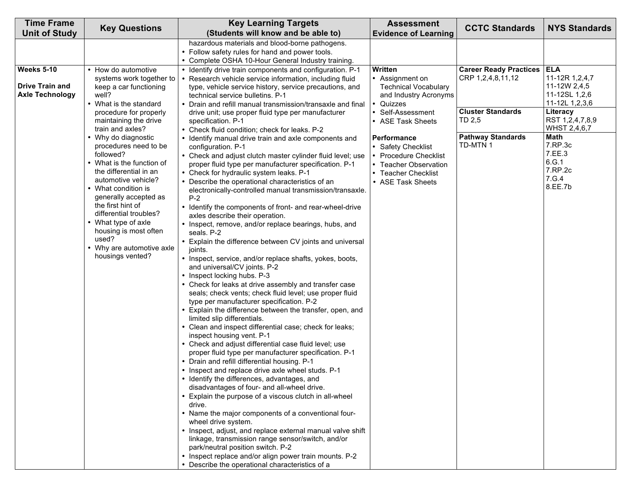| hazardous materials and blood-borne pathogens.<br>• Follow safety rules for hand and power tools.<br>• Complete OSHA 10-Hour General Industry training.<br><b>ELA</b><br><b>Weeks 5-10</b><br>Written<br><b>Career Ready Practices</b><br>• How do automotive<br>• Identify drive train components and configuration. P-1<br>CRP 1,2,4,8,11,12<br>11-12R 1,2,4,7<br>systems work together to<br>• Assignment on<br>Research vehicle service information, including fluid<br>$\bullet$<br><b>Drive Train and</b><br>11-12W 2,4,5<br>keep a car functioning<br><b>Technical Vocabulary</b><br>type, vehicle service history, service precautions, and<br>11-12SL 1,2,6<br><b>Axle Technology</b><br>well?<br>and Industry Acronyms<br>technical service bulletins. P-1<br>11-12L 1,2,3,6<br>• What is the standard<br>Quizzes<br>Drain and refill manual transmission/transaxle and final<br><b>Cluster Standards</b><br>Literacy<br>procedure for properly<br>• Self-Assessment<br>drive unit; use proper fluid type per manufacturer<br>TD 2,5<br>RST 1,2,4,7,8,9<br>maintaining the drive<br>specification. P-1<br>• ASE Task Sheets<br>WHST 2,4,6,7<br>train and axles?<br>• Check fluid condition; check for leaks. P-2<br><b>Pathway Standards</b><br><b>Math</b><br>• Why do diagnostic<br>Performance<br>• Identify manual drive train and axle components and<br>TD-MTN 1<br>7.RP.3c<br>procedures need to be<br>configuration. P-1<br>• Safety Checklist<br>7.EE.3<br>followed?<br>• Check and adjust clutch master cylinder fluid level; use<br><b>Procedure Checklist</b><br>6.G.1<br>• What is the function of<br>proper fluid type per manufacturer specification. P-1<br>• Teacher Observation<br>7.RP.2c<br>the differential in an<br>• Check for hydraulic system leaks. P-1<br>• Teacher Checklist<br>7.G.4<br>automotive vehicle?<br>Describe the operational characteristics of an<br>• ASE Task Sheets<br>8.EE.7b<br>• What condition is<br>electronically-controlled manual transmission/transaxle.<br>generally accepted as<br>$P-2$<br>the first hint of<br>• Identify the components of front- and rear-wheel-drive<br>differential troubles?<br>axles describe their operation.<br>• What type of axle<br>• Inspect, remove, and/or replace bearings, hubs, and<br>housing is most often<br>seals. P-2<br>used?<br>• Explain the difference between CV joints and universal<br>• Why are automotive axle<br>joints.<br>housings vented?<br>• Inspect, service, and/or replace shafts, yokes, boots,<br>and universal/CV joints. P-2<br>• Inspect locking hubs. P-3<br>• Check for leaks at drive assembly and transfer case<br>seals; check vents; check fluid level; use proper fluid<br>type per manufacturer specification. P-2<br>Explain the difference between the transfer, open, and<br>limited slip differentials.<br>• Clean and inspect differential case; check for leaks;<br>inspect housing vent. P-1<br>• Check and adjust differential case fluid level; use<br>proper fluid type per manufacturer specification. P-1<br>• Drain and refill differential housing. P-1<br>• Inspect and replace drive axle wheel studs. P-1<br>Identify the differences, advantages, and<br>disadvantages of four- and all-wheel drive.<br>• Explain the purpose of a viscous clutch in all-wheel<br>drive.<br>• Name the major components of a conventional four-<br>wheel drive system.<br>• Inspect, adjust, and replace external manual valve shift<br>linkage, transmission range sensor/switch, and/or<br>park/neutral position switch. P-2 | <b>Time Frame</b>    | <b>Key Questions</b> | <b>Key Learning Targets</b>                            | <b>Assessment</b>           | <b>CCTC Standards</b> | <b>NYS Standards</b> |
|--------------------------------------------------------------------------------------------------------------------------------------------------------------------------------------------------------------------------------------------------------------------------------------------------------------------------------------------------------------------------------------------------------------------------------------------------------------------------------------------------------------------------------------------------------------------------------------------------------------------------------------------------------------------------------------------------------------------------------------------------------------------------------------------------------------------------------------------------------------------------------------------------------------------------------------------------------------------------------------------------------------------------------------------------------------------------------------------------------------------------------------------------------------------------------------------------------------------------------------------------------------------------------------------------------------------------------------------------------------------------------------------------------------------------------------------------------------------------------------------------------------------------------------------------------------------------------------------------------------------------------------------------------------------------------------------------------------------------------------------------------------------------------------------------------------------------------------------------------------------------------------------------------------------------------------------------------------------------------------------------------------------------------------------------------------------------------------------------------------------------------------------------------------------------------------------------------------------------------------------------------------------------------------------------------------------------------------------------------------------------------------------------------------------------------------------------------------------------------------------------------------------------------------------------------------------------------------------------------------------------------------------------------------------------------------------------------------------------------------------------------------------------------------------------------------------------------------------------------------------------------------------------------------------------------------------------------------------------------------------------------------------------------------------------------------------------------------------------------------------------------------------------------------------------------------------------------------------------------------------------------------------------------------------------------------------------------------------------------------------------------------------------------------------------------------------------------------------------------------------------------------------------------------------------------------------------|----------------------|----------------------|--------------------------------------------------------|-----------------------------|-----------------------|----------------------|
|                                                                                                                                                                                                                                                                                                                                                                                                                                                                                                                                                                                                                                                                                                                                                                                                                                                                                                                                                                                                                                                                                                                                                                                                                                                                                                                                                                                                                                                                                                                                                                                                                                                                                                                                                                                                                                                                                                                                                                                                                                                                                                                                                                                                                                                                                                                                                                                                                                                                                                                                                                                                                                                                                                                                                                                                                                                                                                                                                                                                                                                                                                                                                                                                                                                                                                                                                                                                                                                                                                                                                                          | <b>Unit of Study</b> |                      | (Students will know and be able to)                    | <b>Evidence of Learning</b> |                       |                      |
|                                                                                                                                                                                                                                                                                                                                                                                                                                                                                                                                                                                                                                                                                                                                                                                                                                                                                                                                                                                                                                                                                                                                                                                                                                                                                                                                                                                                                                                                                                                                                                                                                                                                                                                                                                                                                                                                                                                                                                                                                                                                                                                                                                                                                                                                                                                                                                                                                                                                                                                                                                                                                                                                                                                                                                                                                                                                                                                                                                                                                                                                                                                                                                                                                                                                                                                                                                                                                                                                                                                                                                          |                      |                      |                                                        |                             |                       |                      |
|                                                                                                                                                                                                                                                                                                                                                                                                                                                                                                                                                                                                                                                                                                                                                                                                                                                                                                                                                                                                                                                                                                                                                                                                                                                                                                                                                                                                                                                                                                                                                                                                                                                                                                                                                                                                                                                                                                                                                                                                                                                                                                                                                                                                                                                                                                                                                                                                                                                                                                                                                                                                                                                                                                                                                                                                                                                                                                                                                                                                                                                                                                                                                                                                                                                                                                                                                                                                                                                                                                                                                                          |                      |                      |                                                        |                             |                       |                      |
|                                                                                                                                                                                                                                                                                                                                                                                                                                                                                                                                                                                                                                                                                                                                                                                                                                                                                                                                                                                                                                                                                                                                                                                                                                                                                                                                                                                                                                                                                                                                                                                                                                                                                                                                                                                                                                                                                                                                                                                                                                                                                                                                                                                                                                                                                                                                                                                                                                                                                                                                                                                                                                                                                                                                                                                                                                                                                                                                                                                                                                                                                                                                                                                                                                                                                                                                                                                                                                                                                                                                                                          |                      |                      |                                                        |                             |                       |                      |
| • Describe the operational characteristics of a                                                                                                                                                                                                                                                                                                                                                                                                                                                                                                                                                                                                                                                                                                                                                                                                                                                                                                                                                                                                                                                                                                                                                                                                                                                                                                                                                                                                                                                                                                                                                                                                                                                                                                                                                                                                                                                                                                                                                                                                                                                                                                                                                                                                                                                                                                                                                                                                                                                                                                                                                                                                                                                                                                                                                                                                                                                                                                                                                                                                                                                                                                                                                                                                                                                                                                                                                                                                                                                                                                                          |                      |                      | • Inspect replace and/or align power train mounts. P-2 |                             |                       |                      |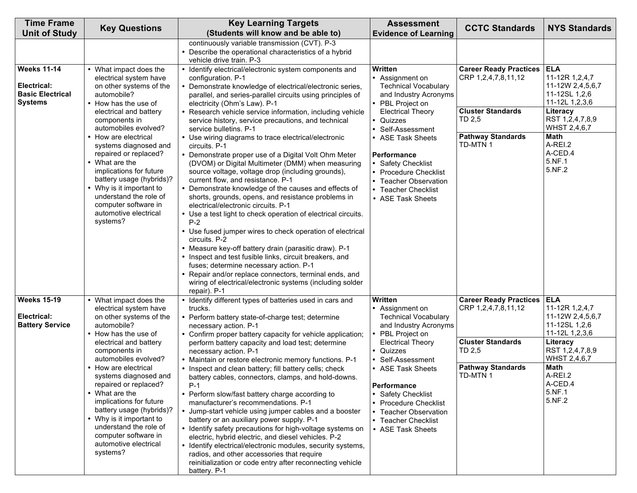| <b>Time Frame</b><br><b>Unit of Study</b>                                      | <b>Key Questions</b>                                                                                                                                                                                                                                                                                                                                                                                                                                        | <b>Key Learning Targets</b><br>(Students will know and be able to)                                                                                                                                                                                                                                                                                                                                                                                                                                                                                                                                                                                                                                                                                                                                                                                                                                                                                                                                                                                                                                                                                                                                                                                                                     | <b>Assessment</b><br><b>Evidence of Learning</b>                                                                                                                                                                                                                                                                           | <b>CCTC Standards</b>                                                                                                              | <b>NYS Standards</b>                                                                                                                                                                 |
|--------------------------------------------------------------------------------|-------------------------------------------------------------------------------------------------------------------------------------------------------------------------------------------------------------------------------------------------------------------------------------------------------------------------------------------------------------------------------------------------------------------------------------------------------------|----------------------------------------------------------------------------------------------------------------------------------------------------------------------------------------------------------------------------------------------------------------------------------------------------------------------------------------------------------------------------------------------------------------------------------------------------------------------------------------------------------------------------------------------------------------------------------------------------------------------------------------------------------------------------------------------------------------------------------------------------------------------------------------------------------------------------------------------------------------------------------------------------------------------------------------------------------------------------------------------------------------------------------------------------------------------------------------------------------------------------------------------------------------------------------------------------------------------------------------------------------------------------------------|----------------------------------------------------------------------------------------------------------------------------------------------------------------------------------------------------------------------------------------------------------------------------------------------------------------------------|------------------------------------------------------------------------------------------------------------------------------------|--------------------------------------------------------------------------------------------------------------------------------------------------------------------------------------|
|                                                                                |                                                                                                                                                                                                                                                                                                                                                                                                                                                             | continuously variable transmission (CVT). P-3<br>• Describe the operational characteristics of a hybrid<br>vehicle drive train. P-3                                                                                                                                                                                                                                                                                                                                                                                                                                                                                                                                                                                                                                                                                                                                                                                                                                                                                                                                                                                                                                                                                                                                                    |                                                                                                                                                                                                                                                                                                                            |                                                                                                                                    |                                                                                                                                                                                      |
| <b>Weeks 11-14</b><br>Electrical:<br><b>Basic Electrical</b><br><b>Systems</b> | • What impact does the<br>electrical system have<br>on other systems of the<br>automobile?<br>• How has the use of<br>electrical and battery<br>components in<br>automobiles evolved?<br>• How are electrical<br>systems diagnosed and<br>repaired or replaced?<br>• What are the<br>implications for future<br>battery usage (hybrids)?<br>• Why is it important to<br>understand the role of<br>computer software in<br>automotive electrical<br>systems? | • Identify electrical/electronic system components and<br>configuration. P-1<br>• Demonstrate knowledge of electrical/electronic series,<br>parallel, and series-parallel circuits using principles of<br>electricity (Ohm's Law). P-1<br>• Research vehicle service information, including vehicle<br>service history, service precautions, and technical<br>service bulletins. P-1<br>• Use wiring diagrams to trace electrical/electronic<br>circuits. P-1<br>• Demonstrate proper use of a Digital Volt Ohm Meter<br>(DVOM) or Digital Multimeter (DMM) when measuring<br>source voltage, voltage drop (including grounds),<br>current flow, and resistance. P-1<br>• Demonstrate knowledge of the causes and effects of<br>shorts, grounds, opens, and resistance problems in<br>electrical/electronic circuits. P-1<br>• Use a test light to check operation of electrical circuits.<br>$P-2$<br>• Use fused jumper wires to check operation of electrical<br>circuits. P-2<br>• Measure key-off battery drain (parasitic draw). P-1<br>• Inspect and test fusible links, circuit breakers, and<br>fuses; determine necessary action. P-1<br>• Repair and/or replace connectors, terminal ends, and<br>wiring of electrical/electronic systems (including solder<br>repair). P-1 | Written<br>• Assignment on<br><b>Technical Vocabulary</b><br>and Industry Acronyms<br>• PBL Project on<br><b>Electrical Theory</b><br>• Quizzes<br>Self-Assessment<br>• ASE Task Sheets<br>Performance<br>• Safety Checklist<br>• Procedure Checklist<br>• Teacher Observation<br>• Teacher Checklist<br>• ASE Task Sheets | <b>Career Ready Practices</b><br>CRP 1,2,4,7,8,11,12<br><b>Cluster Standards</b><br>TD 2,5<br><b>Pathway Standards</b><br>TD-MTN 1 | <b>ELA</b><br>11-12R 1,2,4,7<br>11-12W 2,4,5,6,7<br>11-12SL 1,2,6<br>11-12L 1,2,3,6<br>Literacy<br>RST 1,2,4,7,8,9<br>WHST 2,4,6,7<br>Math<br>A-REI.2<br>A-CED.4<br>5.NF.1<br>5.NF.2 |
| <b>Weeks 15-19</b><br>Electrical:<br><b>Battery Service</b>                    | • What impact does the<br>electrical system have<br>on other systems of the<br>automobile?                                                                                                                                                                                                                                                                                                                                                                  | • Identify different types of batteries used in cars and<br>trucks.<br>• Perform battery state-of-charge test; determine<br>necessary action. P-1                                                                                                                                                                                                                                                                                                                                                                                                                                                                                                                                                                                                                                                                                                                                                                                                                                                                                                                                                                                                                                                                                                                                      | Written<br>• Assignment on<br><b>Technical Vocabulary</b><br>and Industry Acronyms                                                                                                                                                                                                                                         | <b>Career Ready Practices</b><br>CRP 1,2,4,7,8,11,12                                                                               | <b>ELA</b><br>11-12R 1,2,4,7<br>11-12W 2,4,5,6,7<br>11-12SL 1,2,6                                                                                                                    |
|                                                                                | • How has the use of<br>electrical and battery<br>components in<br>automobiles evolved?<br>• How are electrical<br>systems diagnosed and<br>repaired or replaced?<br>• What are the<br>implications for future<br>battery usage (hybrids)?<br>• Why is it important to<br>understand the role of<br>computer software in<br>automotive electrical<br>systems?                                                                                               | • Confirm proper battery capacity for vehicle application;<br>perform battery capacity and load test; determine<br>necessary action. P-1<br>• Maintain or restore electronic memory functions. P-1<br>• Inspect and clean battery; fill battery cells; check<br>battery cables, connectors, clamps, and hold-downs.<br>$P-1$<br>• Perform slow/fast battery charge according to<br>manufacturer's recommendations. P-1<br>• Jump-start vehicle using jumper cables and a booster<br>battery or an auxiliary power supply. P-1<br>• Identify safety precautions for high-voltage systems on<br>electric, hybrid electric, and diesel vehicles. P-2<br>• Identify electrical/electronic modules, security systems,<br>radios, and other accessories that require<br>reinitialization or code entry after reconnecting vehicle<br>battery. P-1                                                                                                                                                                                                                                                                                                                                                                                                                                            | PBL Project on<br><b>Electrical Theory</b><br>• Quizzes<br>Self-Assessment<br>• ASE Task Sheets<br>Performance<br>• Safety Checklist<br>• Procedure Checklist<br><b>Teacher Observation</b><br>$\bullet$<br>• Teacher Checklist<br>• ASE Task Sheets                                                                       | <b>Cluster Standards</b><br>TD 2,5<br><b>Pathway Standards</b><br>TD-MTN 1                                                         | 11-12L 1,2,3,6<br>Literacy<br>RST 1,2,4,7,8,9<br>WHST 2,4,6,7<br><b>Math</b><br>A-REI.2<br>A-CED.4<br>5.NF.1<br>5.NF.2                                                               |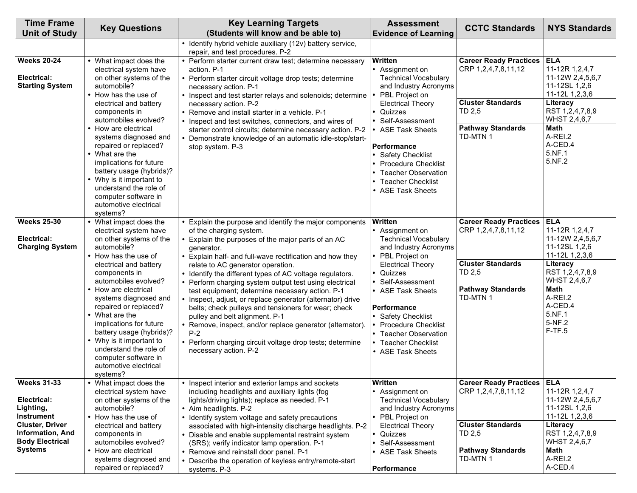| <b>Time Frame</b><br><b>Unit of Study</b>                                                                                         | <b>Key Questions</b>                                                                                                                                                                                                                                                                                                                                                                                                                                        | <b>Key Learning Targets</b><br>(Students will know and be able to)                                                                                                                                                                                                                                                                                                                                                                                                                                                                                                                                                                                                                                                                           | <b>Assessment</b><br><b>Evidence of Learning</b>                                                                                                                                                                                                                                                                                                  | <b>CCTC Standards</b>                                                                                                                    | <b>NYS Standards</b>                                                                                                                                                                      |
|-----------------------------------------------------------------------------------------------------------------------------------|-------------------------------------------------------------------------------------------------------------------------------------------------------------------------------------------------------------------------------------------------------------------------------------------------------------------------------------------------------------------------------------------------------------------------------------------------------------|----------------------------------------------------------------------------------------------------------------------------------------------------------------------------------------------------------------------------------------------------------------------------------------------------------------------------------------------------------------------------------------------------------------------------------------------------------------------------------------------------------------------------------------------------------------------------------------------------------------------------------------------------------------------------------------------------------------------------------------------|---------------------------------------------------------------------------------------------------------------------------------------------------------------------------------------------------------------------------------------------------------------------------------------------------------------------------------------------------|------------------------------------------------------------------------------------------------------------------------------------------|-------------------------------------------------------------------------------------------------------------------------------------------------------------------------------------------|
|                                                                                                                                   |                                                                                                                                                                                                                                                                                                                                                                                                                                                             | • Identify hybrid vehicle auxiliary (12v) battery service,<br>repair, and test procedures. P-2                                                                                                                                                                                                                                                                                                                                                                                                                                                                                                                                                                                                                                               |                                                                                                                                                                                                                                                                                                                                                   |                                                                                                                                          |                                                                                                                                                                                           |
| <b>Weeks 20-24</b><br>Electrical:<br><b>Starting System</b>                                                                       | • What impact does the<br>electrical system have<br>on other systems of the<br>automobile?<br>• How has the use of<br>electrical and battery<br>components in<br>automobiles evolved?                                                                                                                                                                                                                                                                       | • Perform starter current draw test; determine necessary<br>action. P-1<br>• Perform starter circuit voltage drop tests; determine<br>necessary action. P-1<br>• Inspect and test starter relays and solenoids; determine<br>necessary action. P-2<br>• Remove and install starter in a vehicle. P-1<br>• Inspect and test switches, connectors, and wires of                                                                                                                                                                                                                                                                                                                                                                                | <b>Written</b><br>• Assignment on<br><b>Technical Vocabulary</b><br>and Industry Acronyms<br>PBL Project on<br><b>Electrical Theory</b><br>• Quizzes<br>Self-Assessment                                                                                                                                                                           | <b>Career Ready Practices   ELA</b><br>CRP 1,2,4,7,8,11,12<br><b>Cluster Standards</b><br>TD 2,5                                         | 11-12R 1,2,4,7<br>11-12W 2,4,5,6,7<br>11-12SL 1,2,6<br>11-12L 1,2,3,6<br>Literacy<br>RST 1,2,4,7,8,9<br>WHST 2,4,6,7                                                                      |
|                                                                                                                                   | • How are electrical<br>systems diagnosed and<br>repaired or replaced?<br>• What are the<br>implications for future<br>battery usage (hybrids)?<br>• Why is it important to<br>understand the role of<br>computer software in<br>automotive electrical<br>systems?                                                                                                                                                                                          | starter control circuits; determine necessary action. P-2<br>• Demonstrate knowledge of an automatic idle-stop/start-<br>stop system. P-3                                                                                                                                                                                                                                                                                                                                                                                                                                                                                                                                                                                                    | <b>ASE Task Sheets</b><br>Performance<br>• Safety Checklist<br><b>Procedure Checklist</b><br><b>Teacher Observation</b><br><b>Teacher Checklist</b><br>• ASE Task Sheets                                                                                                                                                                          | <b>Pathway Standards</b><br>TD-MTN 1                                                                                                     | <b>Math</b><br>A-REI.2<br>A-CED.4<br>5.NF.1<br>5.NF.2                                                                                                                                     |
| <b>Weeks 25-30</b>                                                                                                                | • What impact does the                                                                                                                                                                                                                                                                                                                                                                                                                                      | • Explain the purpose and identify the major components                                                                                                                                                                                                                                                                                                                                                                                                                                                                                                                                                                                                                                                                                      | Written                                                                                                                                                                                                                                                                                                                                           | <b>Career Ready Practices</b>                                                                                                            | <b>ELA</b>                                                                                                                                                                                |
| Electrical:<br><b>Charging System</b><br><b>Weeks 31-33</b>                                                                       | electrical system have<br>on other systems of the<br>automobile?<br>• How has the use of<br>electrical and battery<br>components in<br>automobiles evolved?<br>• How are electrical<br>systems diagnosed and<br>repaired or replaced?<br>• What are the<br>implications for future<br>battery usage (hybrids)?<br>• Why is it important to<br>understand the role of<br>computer software in<br>automotive electrical<br>systems?<br>• What impact does the | of the charging system.<br>• Explain the purposes of the major parts of an AC<br>generator.<br>• Explain half- and full-wave rectification and how they<br>relate to AC generator operation.<br>• Identify the different types of AC voltage regulators.<br>• Perform charging system output test using electrical<br>test equipment; determine necessary action. P-1<br>• Inspect, adjust, or replace generator (alternator) drive<br>belts; check pulleys and tensioners for wear; check<br>pulley and belt alignment. P-1<br>• Remove, inspect, and/or replace generator (alternator).<br>$P-2$<br>• Perform charging circuit voltage drop tests; determine<br>necessary action. P-2<br>• Inspect interior and exterior lamps and sockets | • Assignment on<br><b>Technical Vocabulary</b><br>and Industry Acronyms<br>• PBL Project on<br><b>Electrical Theory</b><br>Quizzes<br>$\bullet$<br>Self-Assessment<br>• ASE Task Sheets<br>Performance<br>• Safety Checklist<br><b>Procedure Checklist</b><br>• Teacher Observation<br>• Teacher Checklist<br>• ASE Task Sheets<br><b>Written</b> | CRP 1,2,4,7,8,11,12<br><b>Cluster Standards</b><br>TD 2,5<br><b>Pathway Standards</b><br>TD-MTN 1<br><b>Career Ready Practices   ELA</b> | 11-12R 1,2,4,7<br>11-12W 2,4,5,6,7<br>11-12SL 1,2,6<br>11-12L 1,2,3,6<br>Literacy<br>RST 1,2,4,7,8,9<br>WHST 2,4,6,7<br><b>Math</b><br>A-REI.2<br>A-CED.4<br>5.NF.1<br>5-NF.2<br>$F-TF.5$ |
| Electrical:<br>Lighting,<br> Instrument<br>Cluster, Driver<br><b>Information, And</b><br><b>Body Electrical</b><br><b>Systems</b> | electrical system have<br>on other systems of the<br>automobile?<br>• How has the use of<br>electrical and battery<br>components in<br>automobiles evolved?<br>• How are electrical<br>systems diagnosed and<br>repaired or replaced?                                                                                                                                                                                                                       | including headlights and auxiliary lights (fog<br>lights/driving lights); replace as needed. P-1<br>• Aim headlights. P-2<br>• Identify system voltage and safety precautions<br>associated with high-intensity discharge headlights. P-2<br>• Disable and enable supplemental restraint system<br>(SRS); verify indicator lamp operation. P-1<br>• Remove and reinstall door panel. P-1<br>• Describe the operation of keyless entry/remote-start<br>systems. P-3                                                                                                                                                                                                                                                                           | • Assignment on<br><b>Technical Vocabulary</b><br>and Industry Acronyms<br>• PBL Project on<br><b>Electrical Theory</b><br>• Quizzes<br>Self-Assessment<br><b>ASE Task Sheets</b><br>Performance                                                                                                                                                  | CRP 1,2,4,7,8,11,12<br><b>Cluster Standards</b><br>TD 2,5<br><b>Pathway Standards</b><br>TD-MTN 1                                        | 11-12R 1,2,4,7<br>11-12W 2,4,5,6,7<br>11-12SL 1,2,6<br>11-12L 1,2,3,6<br>Literacy<br>RST 1,2,4,7,8,9<br>WHST 2,4,6,7<br>Math<br>A-REI.2<br>A-CED.4                                        |